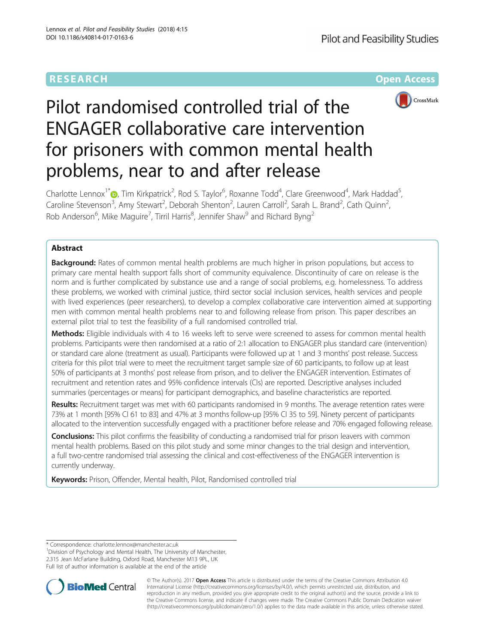## RESEARCH **RESEARCH CONSUMING THE CONSUMING THE CONSUMING THE CONSUMING TEAM Open Access**



# Pilot randomised controlled trial of the ENGAGER collaborative care intervention for prisoners with common mental health problems, near to and after release

Charlotte Lennox<sup>1\*</sup>®, Tim Kirkpatrick<sup>2</sup>, Rod S. Taylor<sup>6</sup>, Roxanne Todd<sup>4</sup>, Clare Greenwood<sup>4</sup>, Mark Haddad<sup>5</sup> , Caroline Stevenson<sup>3</sup>, Amy Stewart<sup>2</sup>, Deborah Shenton<sup>2</sup>, Lauren Carroll<sup>2</sup>, Sarah L. Brand<sup>2</sup>, Cath Quinn<sup>2</sup> , Rob Anderson<sup>6</sup>, Mike Maguire<sup>7</sup>, Tirril Harris<sup>8</sup>, Jennifer Shaw<sup>9</sup> and Richard Byng<sup>2</sup>

## Abstract

**Background:** Rates of common mental health problems are much higher in prison populations, but access to primary care mental health support falls short of community equivalence. Discontinuity of care on release is the norm and is further complicated by substance use and a range of social problems, e.g. homelessness. To address these problems, we worked with criminal justice, third sector social inclusion services, health services and people with lived experiences (peer researchers), to develop a complex collaborative care intervention aimed at supporting men with common mental health problems near to and following release from prison. This paper describes an external pilot trial to test the feasibility of a full randomised controlled trial.

Methods: Eligible individuals with 4 to 16 weeks left to serve were screened to assess for common mental health problems. Participants were then randomised at a ratio of 2:1 allocation to ENGAGER plus standard care (intervention) or standard care alone (treatment as usual). Participants were followed up at 1 and 3 months' post release. Success criteria for this pilot trial were to meet the recruitment target sample size of 60 participants, to follow up at least 50% of participants at 3 months' post release from prison, and to deliver the ENGAGER intervention. Estimates of recruitment and retention rates and 95% confidence intervals (CIs) are reported. Descriptive analyses included summaries (percentages or means) for participant demographics, and baseline characteristics are reported.

Results: Recruitment target was met with 60 participants randomised in 9 months. The average retention rates were 73% at 1 month [95% CI 61 to 83] and 47% at 3 months follow-up [95% CI 35 to 59]. Ninety percent of participants allocated to the intervention successfully engaged with a practitioner before release and 70% engaged following release.

**Conclusions:** This pilot confirms the feasibility of conducting a randomised trial for prison leavers with common mental health problems. Based on this pilot study and some minor changes to the trial design and intervention, a full two-centre randomised trial assessing the clinical and cost-effectiveness of the ENGAGER intervention is currently underway.

Keywords: Prison, Offender, Mental health, Pilot, Randomised controlled trial

<sup>1</sup> Division of Psychology and Mental Health, The University of Manchester, 2.315 Jean McFarlane Building, Oxford Road, Manchester M13 9PL, UK Full list of author information is available at the end of the article



© The Author(s). 2017 **Open Access** This article is distributed under the terms of the Creative Commons Attribution 4.0 International License [\(http://creativecommons.org/licenses/by/4.0/](http://creativecommons.org/licenses/by/4.0/)), which permits unrestricted use, distribution, and reproduction in any medium, provided you give appropriate credit to the original author(s) and the source, provide a link to the Creative Commons license, and indicate if changes were made. The Creative Commons Public Domain Dedication waiver [\(http://creativecommons.org/publicdomain/zero/1.0/](http://creativecommons.org/publicdomain/zero/1.0/)) applies to the data made available in this article, unless otherwise stated.

<sup>\*</sup> Correspondence: [charlotte.lennox@manchester.ac.uk](mailto:charlotte.lennox@manchester.ac.uk) <sup>1</sup>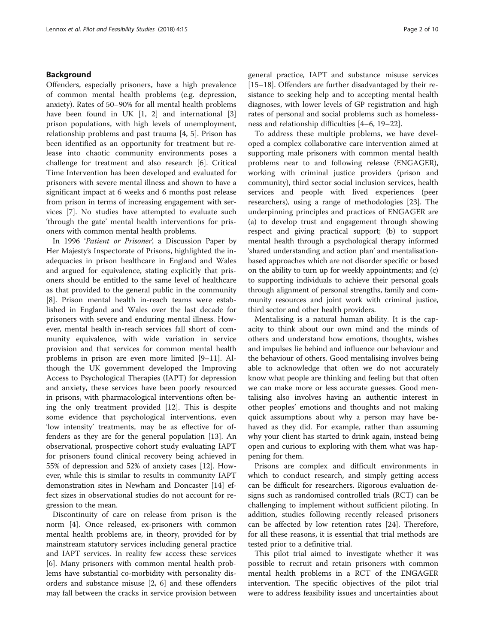## Background

Offenders, especially prisoners, have a high prevalence of common mental health problems (e.g. depression, anxiety). Rates of 50–90% for all mental health problems have been found in UK [\[1, 2\]](#page-9-0) and international [\[3](#page-9-0)] prison populations, with high levels of unemployment, relationship problems and past trauma [[4](#page-9-0), [5\]](#page-9-0). Prison has been identified as an opportunity for treatment but release into chaotic community environments poses a challenge for treatment and also research [\[6](#page-9-0)]. Critical Time Intervention has been developed and evaluated for prisoners with severe mental illness and shown to have a significant impact at 6 weeks and 6 months post release from prison in terms of increasing engagement with services [\[7](#page-9-0)]. No studies have attempted to evaluate such 'through the gate' mental health interventions for prisoners with common mental health problems.

In 1996 'Patient or Prisoner', a Discussion Paper by Her Majesty's Inspectorate of Prisons, highlighted the inadequacies in prison healthcare in England and Wales and argued for equivalence, stating explicitly that prisoners should be entitled to the same level of healthcare as that provided to the general public in the community [[8\]](#page-9-0). Prison mental health in-reach teams were established in England and Wales over the last decade for prisoners with severe and enduring mental illness. However, mental health in-reach services fall short of community equivalence, with wide variation in service provision and that services for common mental health problems in prison are even more limited [[9](#page-9-0)–[11](#page-9-0)]. Although the UK government developed the Improving Access to Psychological Therapies (IAPT) for depression and anxiety, these services have been poorly resourced in prisons, with pharmacological interventions often being the only treatment provided [[12\]](#page-9-0). This is despite some evidence that psychological interventions, even 'low intensity' treatments, may be as effective for offenders as they are for the general population [[13\]](#page-9-0). An observational, prospective cohort study evaluating IAPT for prisoners found clinical recovery being achieved in 55% of depression and 52% of anxiety cases [\[12](#page-9-0)]. However, while this is similar to results in community IAPT demonstration sites in Newham and Doncaster [[14](#page-9-0)] effect sizes in observational studies do not account for regression to the mean.

Discontinuity of care on release from prison is the norm [\[4](#page-9-0)]. Once released, ex-prisoners with common mental health problems are, in theory, provided for by mainstream statutory services including general practice and IAPT services. In reality few access these services [[6\]](#page-9-0). Many prisoners with common mental health problems have substantial co-morbidity with personality disorders and substance misuse [\[2, 6](#page-9-0)] and these offenders may fall between the cracks in service provision between general practice, IAPT and substance misuse services [[15](#page-9-0)–[18](#page-9-0)]. Offenders are further disadvantaged by their resistance to seeking help and to accepting mental health diagnoses, with lower levels of GP registration and high rates of personal and social problems such as homelessness and relationship difficulties [\[4](#page-9-0)–[6](#page-9-0), [19](#page-9-0)–[22\]](#page-9-0).

To address these multiple problems, we have developed a complex collaborative care intervention aimed at supporting male prisoners with common mental health problems near to and following release (ENGAGER), working with criminal justice providers (prison and community), third sector social inclusion services, health services and people with lived experiences (peer researchers), using a range of methodologies [[23\]](#page-9-0). The underpinning principles and practices of ENGAGER are (a) to develop trust and engagement through showing respect and giving practical support; (b) to support mental health through a psychological therapy informed 'shared understanding and action plan' and mentalisationbased approaches which are not disorder specific or based on the ability to turn up for weekly appointments; and (c) to supporting individuals to achieve their personal goals through alignment of personal strengths, family and community resources and joint work with criminal justice, third sector and other health providers.

Mentalising is a natural human ability. It is the capacity to think about our own mind and the minds of others and understand how emotions, thoughts, wishes and impulses lie behind and influence our behaviour and the behaviour of others. Good mentalising involves being able to acknowledge that often we do not accurately know what people are thinking and feeling but that often we can make more or less accurate guesses. Good mentalising also involves having an authentic interest in other peoples' emotions and thoughts and not making quick assumptions about why a person may have behaved as they did. For example, rather than assuming why your client has started to drink again, instead being open and curious to exploring with them what was happening for them.

Prisons are complex and difficult environments in which to conduct research, and simply getting access can be difficult for researchers. Rigorous evaluation designs such as randomised controlled trials (RCT) can be challenging to implement without sufficient piloting. In addition, studies following recently released prisoners can be affected by low retention rates [\[24](#page-9-0)]. Therefore, for all these reasons, it is essential that trial methods are tested prior to a definitive trial.

This pilot trial aimed to investigate whether it was possible to recruit and retain prisoners with common mental health problems in a RCT of the ENGAGER intervention. The specific objectives of the pilot trial were to address feasibility issues and uncertainties about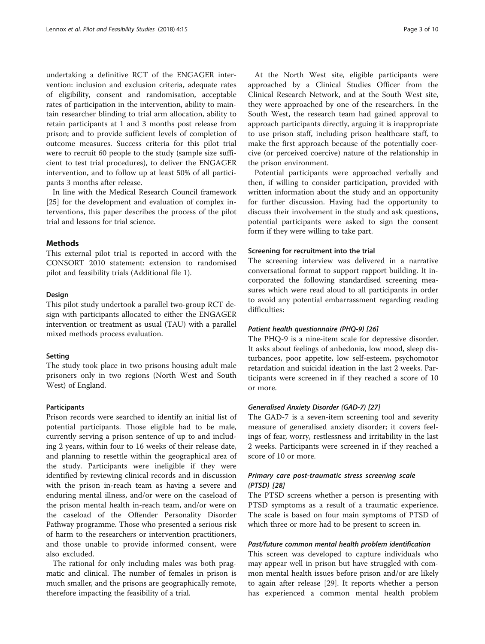undertaking a definitive RCT of the ENGAGER intervention: inclusion and exclusion criteria, adequate rates of eligibility, consent and randomisation, acceptable rates of participation in the intervention, ability to maintain researcher blinding to trial arm allocation, ability to retain participants at 1 and 3 months post release from prison; and to provide sufficient levels of completion of outcome measures. Success criteria for this pilot trial were to recruit 60 people to the study (sample size sufficient to test trial procedures), to deliver the ENGAGER intervention, and to follow up at least 50% of all participants 3 months after release.

In line with the Medical Research Council framework [[25\]](#page-9-0) for the development and evaluation of complex interventions, this paper describes the process of the pilot trial and lessons for trial science.

## **Methods**

This external pilot trial is reported in accord with the CONSORT 2010 statement: extension to randomised pilot and feasibility trials (Additional file [1](#page-8-0)).

#### Design

This pilot study undertook a parallel two-group RCT design with participants allocated to either the ENGAGER intervention or treatment as usual (TAU) with a parallel mixed methods process evaluation.

## Setting

The study took place in two prisons housing adult male prisoners only in two regions (North West and South West) of England.

## Participants

Prison records were searched to identify an initial list of potential participants. Those eligible had to be male, currently serving a prison sentence of up to and including 2 years, within four to 16 weeks of their release date, and planning to resettle within the geographical area of the study. Participants were ineligible if they were identified by reviewing clinical records and in discussion with the prison in-reach team as having a severe and enduring mental illness, and/or were on the caseload of the prison mental health in-reach team, and/or were on the caseload of the Offender Personality Disorder Pathway programme. Those who presented a serious risk of harm to the researchers or intervention practitioners, and those unable to provide informed consent, were also excluded.

The rational for only including males was both pragmatic and clinical. The number of females in prison is much smaller, and the prisons are geographically remote, therefore impacting the feasibility of a trial.

At the North West site, eligible participants were approached by a Clinical Studies Officer from the Clinical Research Network, and at the South West site, they were approached by one of the researchers. In the South West, the research team had gained approval to approach participants directly, arguing it is inappropriate to use prison staff, including prison healthcare staff, to make the first approach because of the potentially coercive (or perceived coercive) nature of the relationship in the prison environment.

Potential participants were approached verbally and then, if willing to consider participation, provided with written information about the study and an opportunity for further discussion. Having had the opportunity to discuss their involvement in the study and ask questions, potential participants were asked to sign the consent form if they were willing to take part.

### Screening for recruitment into the trial

The screening interview was delivered in a narrative conversational format to support rapport building. It incorporated the following standardised screening measures which were read aloud to all participants in order to avoid any potential embarrassment regarding reading difficulties:

## Patient health questionnaire (PHQ-9) [[26](#page-9-0)]

The PHQ-9 is a nine-item scale for depressive disorder. It asks about feelings of anhedonia, low mood, sleep disturbances, poor appetite, low self-esteem, psychomotor retardation and suicidal ideation in the last 2 weeks. Participants were screened in if they reached a score of 10 or more.

## Generalised Anxiety Disorder (GAD-7) [[27](#page-9-0)]

The GAD-7 is a seven-item screening tool and severity measure of generalised anxiety disorder; it covers feelings of fear, worry, restlessness and irritability in the last 2 weeks. Participants were screened in if they reached a score of 10 or more.

## Primary care post-traumatic stress screening scale (PTSD) [[28](#page-9-0)]

The PTSD screens whether a person is presenting with PTSD symptoms as a result of a traumatic experience. The scale is based on four main symptoms of PTSD of which three or more had to be present to screen in.

### Past/future common mental health problem identification

This screen was developed to capture individuals who may appear well in prison but have struggled with common mental health issues before prison and/or are likely to again after release [\[29\]](#page-9-0). It reports whether a person has experienced a common mental health problem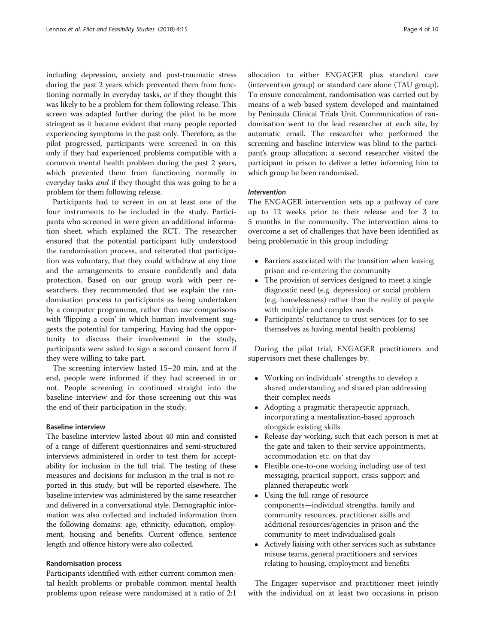including depression, anxiety and post-traumatic stress during the past 2 years which prevented them from functioning normally in everyday tasks, or if they thought this was likely to be a problem for them following release. This screen was adapted further during the pilot to be more stringent as it became evident that many people reported experiencing symptoms in the past only. Therefore, as the pilot progressed, participants were screened in on this only if they had experienced problems compatible with a common mental health problem during the past 2 years, which prevented them from functioning normally in everyday tasks and if they thought this was going to be a problem for them following release.

Participants had to screen in on at least one of the four instruments to be included in the study. Participants who screened in were given an additional information sheet, which explained the RCT. The researcher ensured that the potential participant fully understood the randomisation process, and reiterated that participation was voluntary, that they could withdraw at any time and the arrangements to ensure confidently and data protection. Based on our group work with peer researchers, they recommended that we explain the randomisation process to participants as being undertaken by a computer programme, rather than use comparisons with 'flipping a coin' in which human involvement suggests the potential for tampering. Having had the opportunity to discuss their involvement in the study, participants were asked to sign a second consent form if they were willing to take part.

The screening interview lasted 15–20 min, and at the end, people were informed if they had screened in or not. People screening in continued straight into the baseline interview and for those screening out this was the end of their participation in the study.

## Baseline interview

The baseline interview lasted about 40 min and consisted of a range of different questionnaires and semi-structured interviews administered in order to test them for acceptability for inclusion in the full trial. The testing of these measures and decisions for inclusion in the trial is not reported in this study, but will be reported elsewhere. The baseline interview was administered by the same researcher and delivered in a conversational style. Demographic information was also collected and included information from the following domains: age, ethnicity, education, employment, housing and benefits. Current offence, sentence length and offence history were also collected.

## Randomisation process

Participants identified with either current common mental health problems or probable common mental health problems upon release were randomised at a ratio of 2:1

allocation to either ENGAGER plus standard care (intervention group) or standard care alone (TAU group). To ensure concealment, randomisation was carried out by means of a web-based system developed and maintained by Peninsula Clinical Trials Unit. Communication of randomisation went to the lead researcher at each site, by automatic email. The researcher who performed the screening and baseline interview was blind to the participant's group allocation; a second researcher visited the participant in prison to deliver a letter informing him to which group he been randomised.

## Intervention

The ENGAGER intervention sets up a pathway of care up to 12 weeks prior to their release and for 3 to 5 months in the community. The intervention aims to overcome a set of challenges that have been identified as being problematic in this group including:

- Barriers associated with the transition when leaving prison and re-entering the community
- The provision of services designed to meet a single diagnostic need (e.g. depression) or social problem (e.g. homelessness) rather than the reality of people with multiple and complex needs
- Participants' reluctance to trust services (or to see themselves as having mental health problems)

During the pilot trial, ENGAGER practitioners and supervisors met these challenges by:

- Working on individuals' strengths to develop a shared understanding and shared plan addressing their complex needs
- Adopting a pragmatic therapeutic approach, incorporating a mentalisation-based approach alongside existing skills
- Release day working, such that each person is met at the gate and taken to their service appointments, accommodation etc. on that day
- Flexible one-to-one working including use of text messaging, practical support, crisis support and planned therapeutic work
- Using the full range of resource components—individual strengths, family and community resources, practitioner skills and additional resources/agencies in prison and the community to meet individualised goals
- Actively liaising with other services such as substance misuse teams, general practitioners and services relating to housing, employment and benefits

The Engager supervisor and practitioner meet jointly with the individual on at least two occasions in prison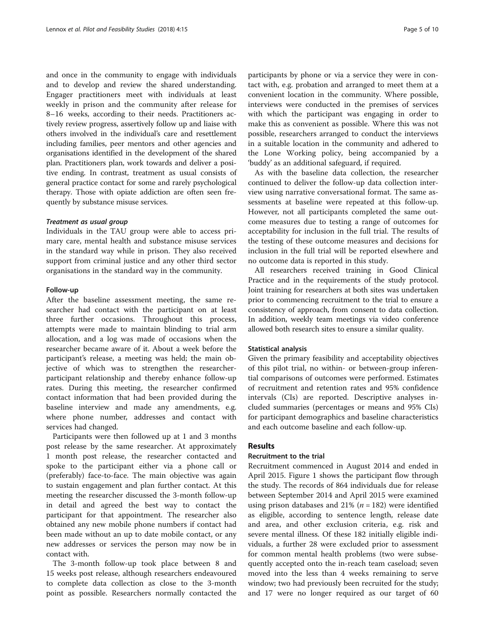and once in the community to engage with individuals and to develop and review the shared understanding. Engager practitioners meet with individuals at least weekly in prison and the community after release for 8–16 weeks, according to their needs. Practitioners actively review progress, assertively follow up and liaise with others involved in the individual's care and resettlement including families, peer mentors and other agencies and organisations identified in the development of the shared plan. Practitioners plan, work towards and deliver a positive ending. In contrast, treatment as usual consists of general practice contact for some and rarely psychological therapy. Those with opiate addiction are often seen frequently by substance misuse services.

#### Treatment as usual group

Individuals in the TAU group were able to access primary care, mental health and substance misuse services in the standard way while in prison. They also received support from criminal justice and any other third sector organisations in the standard way in the community.

#### Follow-up

After the baseline assessment meeting, the same researcher had contact with the participant on at least three further occasions. Throughout this process, attempts were made to maintain blinding to trial arm allocation, and a log was made of occasions when the researcher became aware of it. About a week before the participant's release, a meeting was held; the main objective of which was to strengthen the researcherparticipant relationship and thereby enhance follow-up rates. During this meeting, the researcher confirmed contact information that had been provided during the baseline interview and made any amendments, e.g. where phone number, addresses and contact with services had changed.

Participants were then followed up at 1 and 3 months post release by the same researcher. At approximately 1 month post release, the researcher contacted and spoke to the participant either via a phone call or (preferably) face-to-face. The main objective was again to sustain engagement and plan further contact. At this meeting the researcher discussed the 3-month follow-up in detail and agreed the best way to contact the participant for that appointment. The researcher also obtained any new mobile phone numbers if contact had been made without an up to date mobile contact, or any new addresses or services the person may now be in contact with.

The 3-month follow-up took place between 8 and 15 weeks post release, although researchers endeavoured to complete data collection as close to the 3-month point as possible. Researchers normally contacted the

participants by phone or via a service they were in contact with, e.g. probation and arranged to meet them at a convenient location in the community. Where possible, interviews were conducted in the premises of services with which the participant was engaging in order to make this as convenient as possible. Where this was not possible, researchers arranged to conduct the interviews in a suitable location in the community and adhered to the Lone Working policy, being accompanied by a 'buddy' as an additional safeguard, if required.

As with the baseline data collection, the researcher continued to deliver the follow-up data collection interview using narrative conversational format. The same assessments at baseline were repeated at this follow-up. However, not all participants completed the same outcome measures due to testing a range of outcomes for acceptability for inclusion in the full trial. The results of the testing of these outcome measures and decisions for inclusion in the full trial will be reported elsewhere and no outcome data is reported in this study.

All researchers received training in Good Clinical Practice and in the requirements of the study protocol. Joint training for researchers at both sites was undertaken prior to commencing recruitment to the trial to ensure a consistency of approach, from consent to data collection. In addition, weekly team meetings via video conference allowed both research sites to ensure a similar quality.

#### Statistical analysis

Given the primary feasibility and acceptability objectives of this pilot trial, no within- or between-group inferential comparisons of outcomes were performed. Estimates of recruitment and retention rates and 95% confidence intervals (CIs) are reported. Descriptive analyses included summaries (percentages or means and 95% CIs) for participant demographics and baseline characteristics and each outcome baseline and each follow-up.

## Results

## Recruitment to the trial

Recruitment commenced in August 2014 and ended in April 2015. Figure [1](#page-5-0) shows the participant flow through the study. The records of 864 individuals due for release between September 2014 and April 2015 were examined using prison databases and 21% ( $n = 182$ ) were identified as eligible, according to sentence length, release date and area, and other exclusion criteria, e.g. risk and severe mental illness. Of these 182 initially eligible individuals, a further 28 were excluded prior to assessment for common mental health problems (two were subsequently accepted onto the in-reach team caseload; seven moved into the less than 4 weeks remaining to serve window; two had previously been recruited for the study; and 17 were no longer required as our target of 60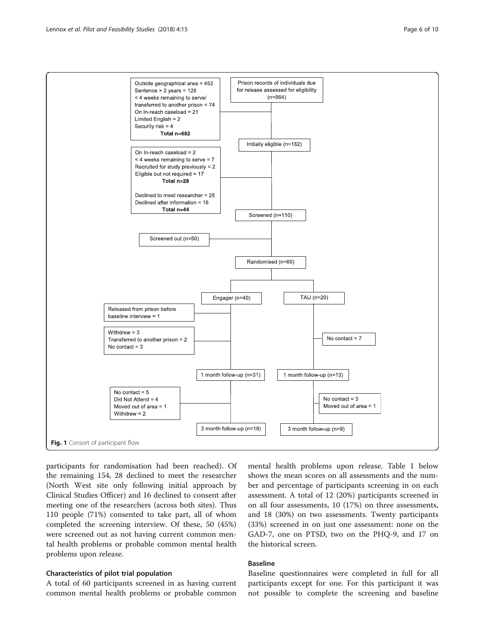<span id="page-5-0"></span>

participants for randomisation had been reached). Of the remaining 154, 28 declined to meet the researcher (North West site only following initial approach by Clinical Studies Officer) and 16 declined to consent after meeting one of the researchers (across both sites). Thus 110 people (71%) consented to take part, all of whom completed the screening interview. Of these, 50 (45%) were screened out as not having current common mental health problems or probable common mental health problems upon release.

## Characteristics of pilot trial population

A total of 60 participants screened in as having current common mental health problems or probable common

mental health problems upon release. Table [1](#page-6-0) below shows the mean scores on all assessments and the number and percentage of participants screening in on each assessment. A total of 12 (20%) participants screened in on all four assessments, 10 (17%) on three assessments, and 18 (30%) on two assessments. Twenty participants (33%) screened in on just one assessment: none on the GAD-7, one on PTSD, two on the PHQ-9, and 17 on the historical screen.

## Baseline

Baseline questionnaires were completed in full for all participants except for one. For this participant it was not possible to complete the screening and baseline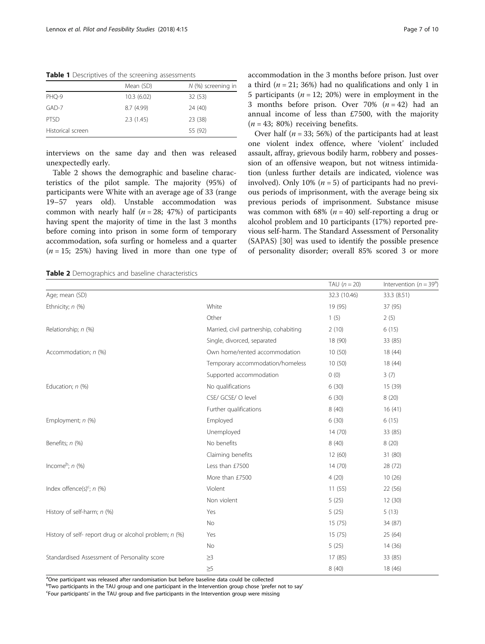<span id="page-6-0"></span>

|                   | Mean (SD)  | $N$ (%) screening in |
|-------------------|------------|----------------------|
| PHO-9             | 10.3(6.02) | 32(53)               |
| GAD-7             | 8.7 (4.99) | 24 (40)              |
| <b>PTSD</b>       | 2.3(1.45)  | 23 (38)              |
| Historical screen |            | 55 (92)              |

interviews on the same day and then was released unexpectedly early.

Table 2 shows the demographic and baseline characteristics of the pilot sample. The majority (95%) of participants were White with an average age of 33 (range 19–57 years old). Unstable accommodation was common with nearly half  $(n = 28; 47%)$  of participants having spent the majority of time in the last 3 months before coming into prison in some form of temporary accommodation, sofa surfing or homeless and a quarter  $(n = 15; 25%)$  having lived in more than one type of accommodation in the 3 months before prison. Just over a third ( $n = 21$ ; 36%) had no qualifications and only 1 in 5 participants ( $n = 12$ ; 20%) were in employment in the 3 months before prison. Over 70%  $(n = 42)$  had an annual income of less than £7500, with the majority  $(n = 43; 80%)$  receiving benefits.

Over half ( $n = 33$ ; 56%) of the participants had at least one violent index offence, where 'violent' included assault, affray, grievous bodily harm, robbery and possession of an offensive weapon, but not witness intimidation (unless further details are indicated, violence was involved). Only 10% ( $n = 5$ ) of participants had no previous periods of imprisonment, with the average being six previous periods of imprisonment. Substance misuse was common with 68% ( $n = 40$ ) self-reporting a drug or alcohol problem and 10 participants (17%) reported previous self-harm. The Standard Assessment of Personality (SAPAS) [[30\]](#page-9-0) was used to identify the possible presence of personality disorder; overall 85% scored 3 or more

Table 2 Demographics and baseline characteristics

|                                                        |                                        | TAU $(n = 20)$ | Intervention ( $n = 39a$ ) |
|--------------------------------------------------------|----------------------------------------|----------------|----------------------------|
| Age; mean (SD)                                         |                                        | 32.3 (10.46)   | 33.3 (8.51)                |
| Ethnicity; n (%)                                       | White                                  | 19 (95)        | 37 (95)                    |
|                                                        | Other                                  | 1(5)           | 2(5)                       |
| Relationship; n (%)                                    | Married, civil partnership, cohabiting | 2(10)          | 6(15)                      |
|                                                        | Single, divorced, separated            | 18 (90)        | 33 (85)                    |
| Accommodation; n (%)                                   | Own home/rented accommodation          | 10(50)         | 18(44)                     |
|                                                        | Temporary accommodation/homeless       | 10(50)         | 18(44)                     |
|                                                        | Supported accommodation                | 0(0)           | 3(7)                       |
| Education; n (%)                                       | No qualifications                      | 6(30)          | 15 (39)                    |
|                                                        | CSE/ GCSE/ O level                     | 6(30)          | 8(20)                      |
|                                                        | Further qualifications                 | 8(40)          | 16(41)                     |
| Employment; n (%)                                      | Employed                               | 6(30)          | 6(15)                      |
|                                                        | Unemployed                             | 14(70)         | 33 (85)                    |
| Benefits; n (%)                                        | No benefits                            | 8(40)          | 8(20)                      |
|                                                        | Claiming benefits                      | 12(60)         | 31 (80)                    |
| Income $b$ ; $n$ (%)                                   | Less than £7500                        | 14(70)         | 28 (72)                    |
|                                                        | More than £7500                        | 4(20)          | 10(26)                     |
| Index offence(s) <sup>c</sup> ; $n$ (%)                | Violent                                | 11(55)         | 22 (56)                    |
|                                                        | Non violent                            | 5(25)          | 12(30)                     |
| History of self-harm; n (%)                            | Yes                                    | 5(25)          | 5(13)                      |
|                                                        | No                                     | 15(75)         | 34 (87)                    |
| History of self- report drug or alcohol problem; n (%) | Yes                                    | 15(75)         | 25(64)                     |
|                                                        | No                                     | 5(25)          | 14(36)                     |
| Standardised Assessment of Personality score           | $\geq$ 3                               | 17(85)         | 33 (85)                    |
|                                                        | $\geq 5$                               | 8(40)          | 18 (46)                    |

<sup>a</sup>One participant was released after randomisation but before baseline data could be collected

b<sub>Two</sub> participants in the TAU group and one participant in the Intervention group chose 'prefer not to say'<br><sup>CE</sup>OUL DATICIPANTS' in the TAU group and five participants in the Intervention group were missing

Four participants' in the TAU group and five participants in the Intervention group were missing

 $\overline{)}$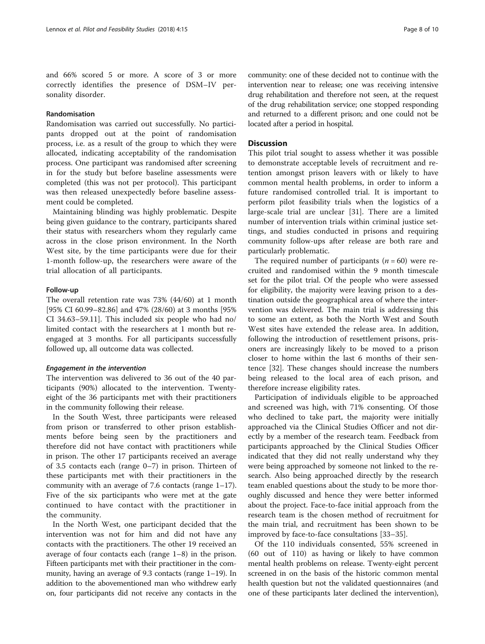and 66% scored 5 or more. A score of 3 or more correctly identifies the presence of DSM–IV personality disorder.

## Randomisation

Randomisation was carried out successfully. No participants dropped out at the point of randomisation process, i.e. as a result of the group to which they were allocated, indicating acceptability of the randomisation process. One participant was randomised after screening in for the study but before baseline assessments were completed (this was not per protocol). This participant was then released unexpectedly before baseline assessment could be completed.

Maintaining blinding was highly problematic. Despite being given guidance to the contrary, participants shared their status with researchers whom they regularly came across in the close prison environment. In the North West site, by the time participants were due for their 1-month follow-up, the researchers were aware of the trial allocation of all participants.

## Follow-up

The overall retention rate was 73% (44/60) at 1 month [95% CI 60.99–82.86] and 47% (28/60) at 3 months [95% CI 34.63–59.11]. This included six people who had no/ limited contact with the researchers at 1 month but reengaged at 3 months. For all participants successfully followed up, all outcome data was collected.

### Engagement in the intervention

The intervention was delivered to 36 out of the 40 participants (90%) allocated to the intervention. Twentyeight of the 36 participants met with their practitioners in the community following their release.

In the South West, three participants were released from prison or transferred to other prison establishments before being seen by the practitioners and therefore did not have contact with practitioners while in prison. The other 17 participants received an average of 3.5 contacts each (range 0–7) in prison. Thirteen of these participants met with their practitioners in the community with an average of 7.6 contacts (range 1–17). Five of the six participants who were met at the gate continued to have contact with the practitioner in the community.

In the North West, one participant decided that the intervention was not for him and did not have any contacts with the practitioners. The other 19 received an average of four contacts each (range 1–8) in the prison. Fifteen participants met with their practitioner in the community, having an average of 9.3 contacts (range 1–19). In addition to the abovementioned man who withdrew early on, four participants did not receive any contacts in the

community: one of these decided not to continue with the intervention near to release; one was receiving intensive drug rehabilitation and therefore not seen, at the request of the drug rehabilitation service; one stopped responding and returned to a different prison; and one could not be located after a period in hospital.

#### **Discussion**

This pilot trial sought to assess whether it was possible to demonstrate acceptable levels of recruitment and retention amongst prison leavers with or likely to have common mental health problems, in order to inform a future randomised controlled trial. It is important to perform pilot feasibility trials when the logistics of a large-scale trial are unclear [[31\]](#page-9-0). There are a limited number of intervention trials within criminal justice settings, and studies conducted in prisons and requiring community follow-ups after release are both rare and particularly problematic.

The required number of participants  $(n = 60)$  were recruited and randomised within the 9 month timescale set for the pilot trial. Of the people who were assessed for eligibility, the majority were leaving prison to a destination outside the geographical area of where the intervention was delivered. The main trial is addressing this to some an extent, as both the North West and South West sites have extended the release area. In addition, following the introduction of resettlement prisons, prisoners are increasingly likely to be moved to a prison closer to home within the last 6 months of their sentence [[32](#page-9-0)]. These changes should increase the numbers being released to the local area of each prison, and therefore increase eligibility rates.

Participation of individuals eligible to be approached and screened was high, with 71% consenting. Of those who declined to take part, the majority were initially approached via the Clinical Studies Officer and not directly by a member of the research team. Feedback from participants approached by the Clinical Studies Officer indicated that they did not really understand why they were being approached by someone not linked to the research. Also being approached directly by the research team enabled questions about the study to be more thoroughly discussed and hence they were better informed about the project. Face-to-face initial approach from the research team is the chosen method of recruitment for the main trial, and recruitment has been shown to be improved by face-to-face consultations [[33](#page-9-0)–[35](#page-9-0)].

Of the 110 individuals consented, 55% screened in (60 out of 110) as having or likely to have common mental health problems on release. Twenty-eight percent screened in on the basis of the historic common mental health question but not the validated questionnaires (and one of these participants later declined the intervention),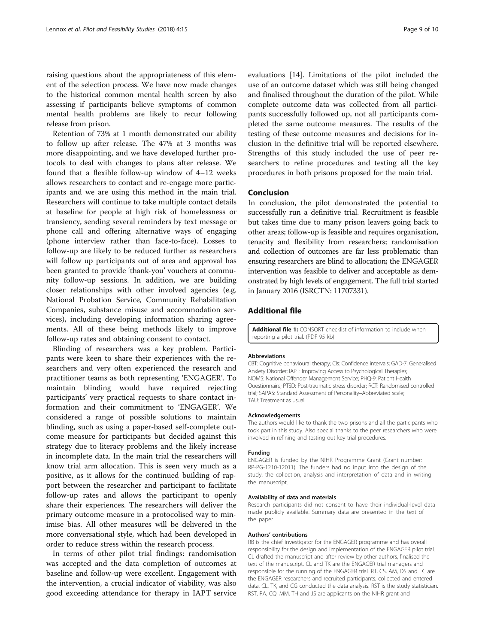<span id="page-8-0"></span>raising questions about the appropriateness of this element of the selection process. We have now made changes to the historical common mental health screen by also assessing if participants believe symptoms of common mental health problems are likely to recur following release from prison.

Retention of 73% at 1 month demonstrated our ability to follow up after release. The 47% at 3 months was more disappointing, and we have developed further protocols to deal with changes to plans after release. We found that a flexible follow-up window of 4–12 weeks allows researchers to contact and re-engage more participants and we are using this method in the main trial. Researchers will continue to take multiple contact details at baseline for people at high risk of homelessness or transiency, sending several reminders by text message or phone call and offering alternative ways of engaging (phone interview rather than face-to-face). Losses to follow-up are likely to be reduced further as researchers will follow up participants out of area and approval has been granted to provide 'thank-you' vouchers at community follow-up sessions. In addition, we are building closer relationships with other involved agencies (e.g. National Probation Service, Community Rehabilitation Companies, substance misuse and accommodation services), including developing information sharing agreements. All of these being methods likely to improve follow-up rates and obtaining consent to contact.

Blinding of researchers was a key problem. Participants were keen to share their experiences with the researchers and very often experienced the research and practitioner teams as both representing 'ENGAGER'. To maintain blinding would have required rejecting participants' very practical requests to share contact information and their commitment to 'ENGAGER'. We considered a range of possible solutions to maintain blinding, such as using a paper-based self-complete outcome measure for participants but decided against this strategy due to literacy problems and the likely increase in incomplete data. In the main trial the researchers will know trial arm allocation. This is seen very much as a positive, as it allows for the continued building of rapport between the researcher and participant to facilitate follow-up rates and allows the participant to openly share their experiences. The researchers will deliver the primary outcome measure in a protocolised way to minimise bias. All other measures will be delivered in the more conversational style, which had been developed in order to reduce stress within the research process.

In terms of other pilot trial findings: randomisation was accepted and the data completion of outcomes at baseline and follow-up were excellent. Engagement with the intervention, a crucial indicator of viability, was also good exceeding attendance for therapy in IAPT service

evaluations [[14\]](#page-9-0). Limitations of the pilot included the use of an outcome dataset which was still being changed and finalised throughout the duration of the pilot. While complete outcome data was collected from all participants successfully followed up, not all participants completed the same outcome measures. The results of the testing of these outcome measures and decisions for inclusion in the definitive trial will be reported elsewhere.

Strengths of this study included the use of peer researchers to refine procedures and testing all the key procedures in both prisons proposed for the main trial.

#### Conclusion

In conclusion, the pilot demonstrated the potential to successfully run a definitive trial. Recruitment is feasible but takes time due to many prison leavers going back to other areas; follow-up is feasible and requires organisation, tenacity and flexibility from researchers; randomisation and collection of outcomes are far less problematic than ensuring researchers are blind to allocation; the ENGAGER intervention was feasible to deliver and acceptable as demonstrated by high levels of engagement. The full trial started in January 2016 (ISRCTN: 11707331).

## Additional file

[Additional file 1:](dx.doi.org/10.1186/s40814-017-0163-6) CONSORT checklist of information to include when reporting a pilot trial. (PDF 95 kb)

#### Abbreviations

CBT: Cognitive behavioural therapy; CIs: Confidence intervals; GAD-7: Generalised Anxiety Disorder; IAPT: Improving Access to Psychological Therapies; NOMS: National Offender Management Service; PHQ-9: Patient Health Questionnaire; PTSD: Post-traumatic stress disorder; RCT: Randomised controlled trial; SAPAS: Standard Assessment of Personality–Abbreviated scale; TAU: Treatment as usual

#### Acknowledgements

The authors would like to thank the two prisons and all the participants who took part in this study. Also special thanks to the peer researchers who were involved in refining and testing out key trial procedures.

#### Funding

ENGAGER is funded by the NIHR Programme Grant (Grant number: RP-PG-1210-12011). The funders had no input into the design of the study, the collection, analysis and interpretation of data and in writing the manuscript.

#### Availability of data and materials

Research participants did not consent to have their individual-level data made publicly available. Summary data are presented in the text of the paper.

#### Authors' contributions

RB is the chief investigator for the ENGAGER programme and has overall responsibility for the design and implementation of the ENGAGER pilot trial. CL drafted the manuscript and after review by other authors, finalised the text of the manuscript. CL and TK are the ENGAGER trial managers and responsible for the running of the ENGAGER trial. RT, CS, AM, DS and LC are the ENGAGER researchers and recruited participants, collected and entered data. CL, TK, and CG conducted the data analysis. RST is the study statistician. RST, RA, CQ, MM, TH and JS are applicants on the NIHR grant and